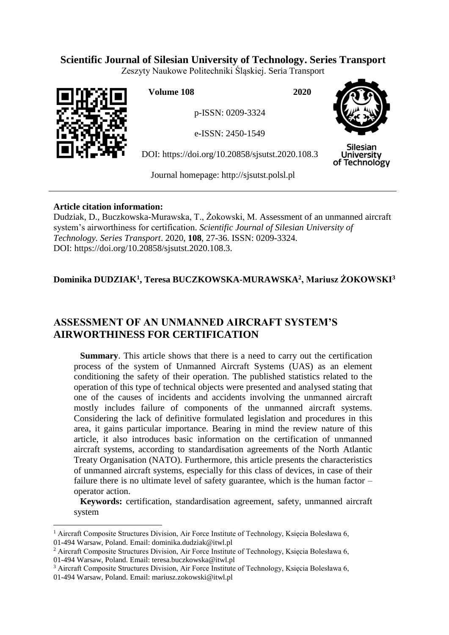# **Scientific Journal of Silesian University of Technology. Series Transport**

Zeszyty Naukowe Politechniki Śląskiej. Seria Transport



 $\overline{a}$ 

**Volume 108 2020**

p-ISSN: 0209-3324

e-ISSN: 2450-1549

DOI: https://doi.org/10.20858/sjsutst.2020.108.3



**Silesian University** of Technology

Journal homepage: [http://sjsutst.polsl.pl](http://sjsutst.polsl.pl/)

### **Article citation information:**

Dudziak, D., Buczkowska-Murawska, T., Żokowski, M. Assessment of an unmanned aircraft system's airworthiness for certification. *Scientific Journal of Silesian University of Technology. Series Transport*. 2020, **108**, 27-36. ISSN: 0209-3324. DOI: https://doi.org/10.20858/sjsutst.2020.108.3.

# **Dominika DUDZIAK<sup>1</sup> , Teresa BUCZKOWSKA-MURAWSKA<sup>2</sup> , Mariusz ŻOKOWSKI<sup>3</sup>**

# **ASSESSMENT OF AN UNMANNED AIRCRAFT SYSTEM'S AIRWORTHINESS FOR CERTIFICATION**

**Summary**. This article shows that there is a need to carry out the certification process of the system of Unmanned Aircraft Systems (UAS) as an element conditioning the safety of their operation. The published statistics related to the operation of this type of technical objects were presented and analysed stating that one of the causes of incidents and accidents involving the unmanned aircraft mostly includes failure of components of the unmanned aircraft systems. Considering the lack of definitive formulated legislation and procedures in this area, it gains particular importance. Bearing in mind the review nature of this article, it also introduces basic information on the certification of unmanned aircraft systems, according to standardisation agreements of the North Atlantic Treaty Organisation (NATO). Furthermore, this article presents the characteristics of unmanned aircraft systems, especially for this class of devices, in case of their failure there is no ultimate level of safety guarantee, which is the human factor – operator action.

**Keywords:** certification, standardisation agreement, safety, unmanned aircraft system

<sup>1</sup> Aircraft Composite Structures Division, Air Force Institute of Technology, Księcia Bolesława 6, 01-494 Warsaw, Poland. Email: dominika.dudziak@itwl.pl

<sup>&</sup>lt;sup>2</sup> Aircraft Composite Structures Division, Air Force Institute of Technology, Księcia Bolesława 6, 01-494 Warsaw, Poland. Email: teresa.buczkowska@itwl.pl

<sup>3</sup> Aircraft Composite Structures Division, Air Force Institute of Technology, Księcia Bolesława 6, 01-494 Warsaw, Poland. Email: mariusz.zokowski@itwl.pl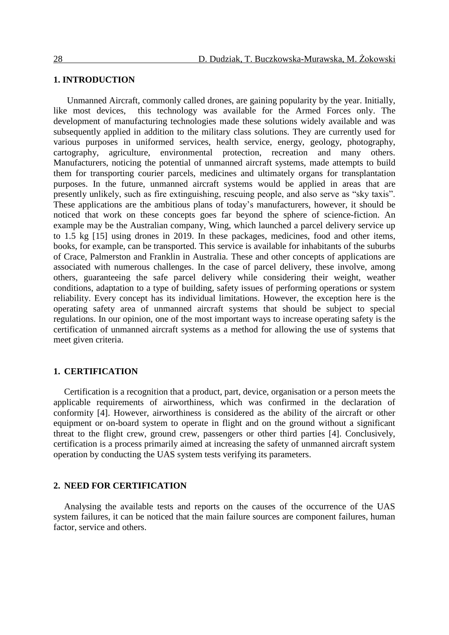### **1. INTRODUCTION**

Unmanned Aircraft, commonly called drones, are gaining popularity by the year. Initially, like most devices, this technology was available for the Armed Forces only. The development of manufacturing technologies made these solutions widely available and was subsequently applied in addition to the military class solutions. They are currently used for various purposes in uniformed services, health service, energy, geology, photography, cartography, agriculture, environmental protection, recreation and many others. Manufacturers, noticing the potential of unmanned aircraft systems, made attempts to build them for transporting courier parcels, medicines and ultimately organs for transplantation purposes. In the future, unmanned aircraft systems would be applied in areas that are presently unlikely, such as fire extinguishing, rescuing people, and also serve as "sky taxis". These applications are the ambitious plans of today's manufacturers, however, it should be noticed that work on these concepts goes far beyond the sphere of science-fiction. An example may be the Australian company, Wing, which launched a parcel delivery service up to 1.5 kg [15] using drones in 2019. In these packages, medicines, food and other items, books, for example, can be transported. This service is available for inhabitants of the suburbs of Crace, Palmerston and Franklin in Australia. These and other concepts of applications are associated with numerous challenges. In the case of parcel delivery, these involve, among others, guaranteeing the safe parcel delivery while considering their weight, weather conditions, adaptation to a type of building, safety issues of performing operations or system reliability. Every concept has its individual limitations. However, the exception here is the operating safety area of unmanned aircraft systems that should be subject to special regulations. In our opinion, one of the most important ways to increase operating safety is the certification of unmanned aircraft systems as a method for allowing the use of systems that meet given criteria.

### **1. CERTIFICATION**

Certification is a recognition that a product, part, device, organisation or a person meets the applicable requirements of airworthiness, which was confirmed in the declaration of conformity [4]. However, airworthiness is considered as the ability of the aircraft or other equipment or on-board system to operate in flight and on the ground without a significant threat to the flight crew, ground crew, passengers or other third parties [4]. Conclusively, certification is a process primarily aimed at increasing the safety of unmanned aircraft system operation by conducting the UAS system tests verifying its parameters.

### **2. NEED FOR CERTIFICATION**

Analysing the available tests and reports on the causes of the occurrence of the UAS system failures, it can be noticed that the main failure sources are component failures, human factor, service and others.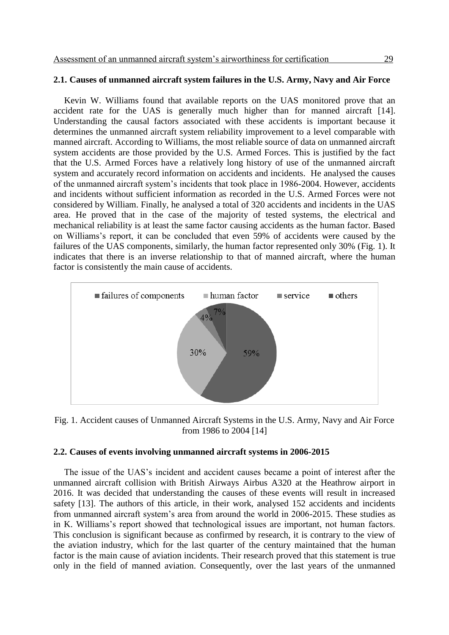### **2.1. Causes of unmanned aircraft system failures in the U.S. Army, Navy and Air Force**

Kevin W. Williams found that available reports on the UAS monitored prove that an accident rate for the UAS is generally much higher than for manned aircraft [14]. Understanding the causal factors associated with these accidents is important because it determines the unmanned aircraft system reliability improvement to a level comparable with manned aircraft. According to Williams, the most reliable source of data on unmanned aircraft system accidents are those provided by the U.S. Armed Forces. This is justified by the fact that the U.S. Armed Forces have a relatively long history of use of the unmanned aircraft system and accurately record information on accidents and incidents. He analysed the causes of the unmanned aircraft system's incidents that took place in 1986-2004. However, accidents and incidents without sufficient information as recorded in the U.S. Armed Forces were not considered by William. Finally, he analysed a total of 320 accidents and incidents in the UAS area. He proved that in the case of the majority of tested systems, the electrical and mechanical reliability is at least the same factor causing accidents as the human factor. Based on Williams's report, it can be concluded that even 59% of accidents were caused by the failures of the UAS components, similarly, the human factor represented only 30% [\(Fig. 1\)](#page-2-0). It indicates that there is an inverse relationship to that of manned aircraft, where the human factor is consistently the main cause of accidents.



<span id="page-2-0"></span>Fig. 1. Accident causes of Unmanned Aircraft Systems in the U.S. Army, Navy and Air Force from 1986 to 2004 [14]

### **2.2. Causes of events involving unmanned aircraft systems in 2006-2015**

The issue of the UAS's incident and accident causes became a point of interest after the unmanned aircraft collision with British Airways Airbus A320 at the Heathrow airport in 2016. It was decided that understanding the causes of these events will result in increased safety [13]. The authors of this article, in their work, analysed 152 accidents and incidents from unmanned aircraft system's area from around the world in 2006-2015. These studies as in K. Williams's report showed that technological issues are important, not human factors. This conclusion is significant because as confirmed by research, it is contrary to the view of the aviation industry, which for the last quarter of the century maintained that the human factor is the main cause of aviation incidents. Their research proved that this statement is true only in the field of manned aviation. Consequently, over the last years of the unmanned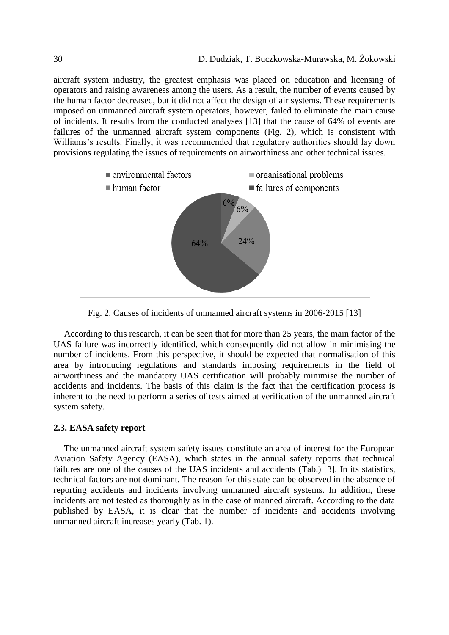aircraft system industry, the greatest emphasis was placed on education and licensing of operators and raising awareness among the users. As a result, the number of events caused by the human factor decreased, but it did not affect the design of air systems. These requirements imposed on unmanned aircraft system operators, however, failed to eliminate the main cause of incidents. It results from the conducted analyses [13] that the cause of 64% of events are failures of the unmanned aircraft system components [\(Fig. 2\)](#page-3-0), which is consistent with Williams's results. Finally, it was recommended that regulatory authorities should lay down provisions regulating the issues of requirements on airworthiness and other technical issues.



Fig. 2. Causes of incidents of unmanned aircraft systems in 2006-2015 [13]

<span id="page-3-0"></span>According to this research, it can be seen that for more than 25 years, the main factor of the UAS failure was incorrectly identified, which consequently did not allow in minimising the number of incidents. From this perspective, it should be expected that normalisation of this area by introducing regulations and standards imposing requirements in the field of airworthiness and the mandatory UAS certification will probably minimise the number of accidents and incidents. The basis of this claim is the fact that the certification process is inherent to the need to perform a series of tests aimed at verification of the unmanned aircraft system safety.

#### **2.3. EASA safety report**

The unmanned aircraft system safety issues constitute an area of interest for the European Aviation Safety Agency (EASA), which states in the annual safety reports that technical failures are one of the causes of the UAS incidents and accidents (Tab.) [3]. In its statistics, technical factors are not dominant. The reason for this state can be observed in the absence of reporting accidents and incidents involving unmanned aircraft systems. In addition, these incidents are not tested as thoroughly as in the case of manned aircraft. According to the data published by EASA, it is clear that the number of incidents and accidents involving unmanned aircraft increases yearly [\(Tab. 1\)](#page-4-0).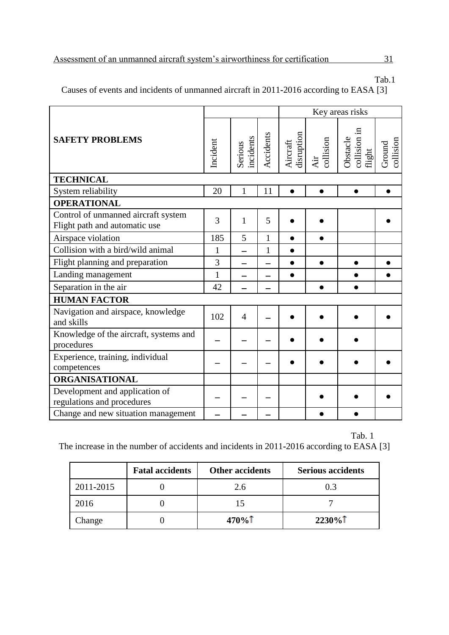Tab.1

Causes of events and incidents of unmanned aircraft in 2011**-**2016 according to EASA [3]

|                                                                      |              |                      |              | Key areas risks        |                  |                                    |                     |
|----------------------------------------------------------------------|--------------|----------------------|--------------|------------------------|------------------|------------------------------------|---------------------|
| <b>SAFETY PROBLEMS</b>                                               |              | incidents<br>Serious | Accidents    | disruption<br>Aircraft | collision<br>Air | Obstacle<br>collision in<br>flight | collision<br>Ground |
| <b>TECHNICAL</b>                                                     |              |                      |              |                        |                  |                                    |                     |
| System reliability                                                   | 20           | 1                    | 11           | $\bullet$              | $\bullet$        |                                    |                     |
| <b>OPERATIONAL</b>                                                   |              |                      |              |                        |                  |                                    |                     |
| Control of unmanned aircraft system<br>Flight path and automatic use | 3            | 1                    | 5            |                        |                  |                                    |                     |
| Airspace violation                                                   | 185          | 5                    | $\mathbf{1}$ | $\bullet$              | $\bullet$        |                                    |                     |
| Collision with a bird/wild animal                                    | 1            |                      | $\mathbf{1}$ | $\bullet$              |                  |                                    |                     |
| Flight planning and preparation                                      | 3            |                      |              | $\bullet$              | $\bullet$        |                                    |                     |
| Landing management                                                   | $\mathbf{1}$ |                      |              | ●                      |                  |                                    |                     |
| Separation in the air                                                | 42           |                      |              |                        |                  |                                    |                     |
| <b>HUMAN FACTOR</b>                                                  |              |                      |              |                        |                  |                                    |                     |
| Navigation and airspace, knowledge<br>and skills                     | 102          | $\overline{4}$       |              |                        |                  |                                    |                     |
| Knowledge of the aircraft, systems and<br>procedures                 |              |                      |              |                        |                  |                                    |                     |
| Experience, training, individual<br>competences                      |              |                      |              |                        |                  |                                    |                     |
| <b>ORGANISATIONAL</b>                                                |              |                      |              |                        |                  |                                    |                     |
| Development and application of<br>regulations and procedures         |              |                      |              |                        |                  |                                    |                     |
| Change and new situation management                                  |              |                      |              |                        |                  |                                    |                     |

<span id="page-4-0"></span>Tab. 1 The increase in the number of accidents and incidents in 2011**-**2016 according to EASA [3]

|           | <b>Fatal accidents</b> | <b>Other accidents</b> | <b>Serious accidents</b> |
|-----------|------------------------|------------------------|--------------------------|
| 2011-2015 |                        | 2.6                    | 0.3                      |
| 2016      |                        |                        |                          |
| Change    |                        | $470\%$                | $2230\%$                 |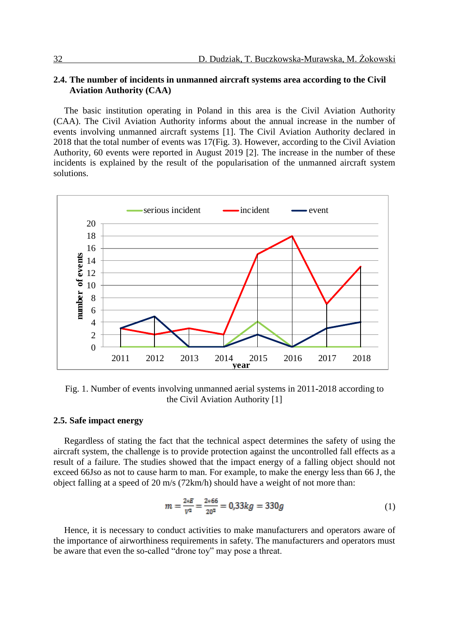### **2.4. The number of incidents in unmanned aircraft systems area according to the Civil Aviation Authority (CAA)**

The basic institution operating in Poland in this area is the Civil Aviation Authority (CAA). The Civil Aviation Authority informs about the annual increase in the number of events involving unmanned aircraft systems [1]. The Civil Aviation Authority declared in 2018 that the total number of events was 17(Fig. 3). However, according to the Civil Aviation Authority, 60 events were reported in August 2019 [2]. The increase in the number of these incidents is explained by the result of the popularisation of the unmanned aircraft system solutions.



Fig. 1. Number of events involving unmanned aerial systems in 2011**-**2018 according to the Civil Aviation Authority [1]

### **2.5. Safe impact energy**

Regardless of stating the fact that the technical aspect determines the safety of using the aircraft system, the challenge is to provide protection against the uncontrolled fall effects as a result of a failure. The studies showed that the impact energy of a falling object should not exceed 66Jso as not to cause harm to man. For example, to make the energy less than 66 J, the object falling at a speed of 20 m/s (72km/h) should have a weight of not more than:

$$
m = \frac{2*E}{V^2} = \frac{2*66}{20^2} = 0,33kg = 330g
$$
 (1)

Hence, it is necessary to conduct activities to make manufacturers and operators aware of the importance of airworthiness requirements in safety. The manufacturers and operators must be aware that even the so-called "drone toy" may pose a threat.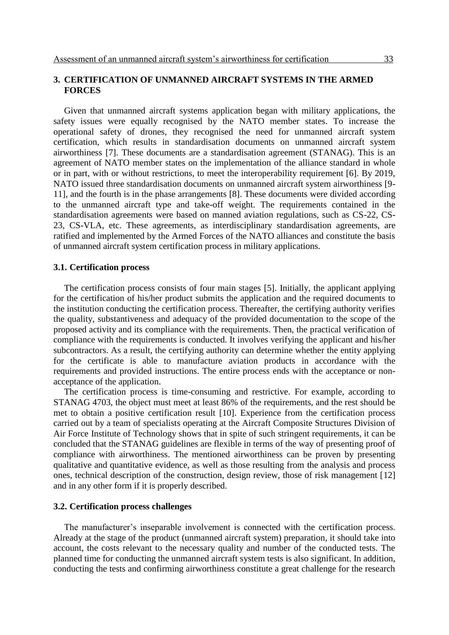### **3. CERTIFICATION OF UNMANNED AIRCRAFT SYSTEMS IN THE ARMED FORCES**

Given that unmanned aircraft systems application began with military applications, the safety issues were equally recognised by the NATO member states. To increase the operational safety of drones, they recognised the need for unmanned aircraft system certification, which results in standardisation documents on unmanned aircraft system airworthiness [7]. These documents are a standardisation agreement (STANAG). This is an agreement of NATO member states on the implementation of the alliance standard in whole or in part, with or without restrictions, to meet the interoperability requirement [6]. By 2019, NATO issued three standardisation documents on unmanned aircraft system airworthiness [9- 11], and the fourth is in the phase arrangements [8]. These documents were divided according to the unmanned aircraft type and take-off weight. The requirements contained in the standardisation agreements were based on manned aviation regulations, such as CS-22, CS-23, CS-VLA, etc. These agreements, as interdisciplinary standardisation agreements, are ratified and implemented by the Armed Forces of the NATO alliances and constitute the basis of unmanned aircraft system certification process in military applications.

#### **3.1. Certification process**

The certification process consists of four main stages [5]. Initially, the applicant applying for the certification of his/her product submits the application and the required documents to the institution conducting the certification process. Thereafter, the certifying authority verifies the quality, substantiveness and adequacy of the provided documentation to the scope of the proposed activity and its compliance with the requirements. Then, the practical verification of compliance with the requirements is conducted. It involves verifying the applicant and his/her subcontractors. As a result, the certifying authority can determine whether the entity applying for the certificate is able to manufacture aviation products in accordance with the requirements and provided instructions. The entire process ends with the acceptance or nonacceptance of the application.

The certification process is time-consuming and restrictive. For example, according to STANAG 4703, the object must meet at least 86% of the requirements, and the rest should be met to obtain a positive certification result [10]. Experience from the certification process carried out by a team of specialists operating at the Aircraft Composite Structures Division of Air Force Institute of Technology shows that in spite of such stringent requirements, it can be concluded that the STANAG guidelines are flexible in terms of the way of presenting proof of compliance with airworthiness. The mentioned airworthiness can be proven by presenting qualitative and quantitative evidence, as well as those resulting from the analysis and process ones, technical description of the construction, design review, those of risk management [12] and in any other form if it is properly described.

### **3.2. Certification process challenges**

The manufacturer's inseparable involvement is connected with the certification process. Already at the stage of the product (unmanned aircraft system) preparation, it should take into account, the costs relevant to the necessary quality and number of the conducted tests. The planned time for conducting the unmanned aircraft system tests is also significant. In addition, conducting the tests and confirming airworthiness constitute a great challenge for the research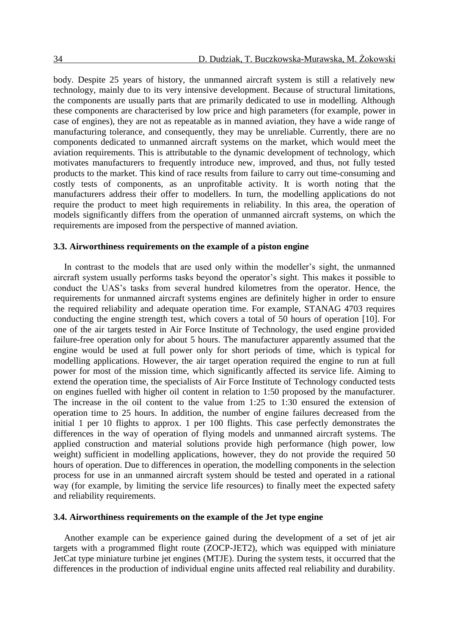body. Despite 25 years of history, the unmanned aircraft system is still a relatively new technology, mainly due to its very intensive development. Because of structural limitations, the components are usually parts that are primarily dedicated to use in modelling. Although these components are characterised by low price and high parameters (for example, power in case of engines), they are not as repeatable as in manned aviation, they have a wide range of manufacturing tolerance, and consequently, they may be unreliable. Currently, there are no components dedicated to unmanned aircraft systems on the market, which would meet the aviation requirements. This is attributable to the dynamic development of technology, which motivates manufacturers to frequently introduce new, improved, and thus, not fully tested products to the market. This kind of race results from failure to carry out time-consuming and costly tests of components, as an unprofitable activity. It is worth noting that the manufacturers address their offer to modellers. In turn, the modelling applications do not require the product to meet high requirements in reliability. In this area, the operation of models significantly differs from the operation of unmanned aircraft systems, on which the requirements are imposed from the perspective of manned aviation.

#### **3.3. Airworthiness requirements on the example of a piston engine**

In contrast to the models that are used only within the modeller's sight, the unmanned aircraft system usually performs tasks beyond the operator's sight. This makes it possible to conduct the UAS's tasks from several hundred kilometres from the operator. Hence, the requirements for unmanned aircraft systems engines are definitely higher in order to ensure the required reliability and adequate operation time. For example, STANAG 4703 requires conducting the engine strength test, which covers a total of 50 hours of operation [10]. For one of the air targets tested in Air Force Institute of Technology, the used engine provided failure-free operation only for about 5 hours. The manufacturer apparently assumed that the engine would be used at full power only for short periods of time, which is typical for modelling applications. However, the air target operation required the engine to run at full power for most of the mission time, which significantly affected its service life. Aiming to extend the operation time, the specialists of Air Force Institute of Technology conducted tests on engines fuelled with higher oil content in relation to 1:50 proposed by the manufacturer. The increase in the oil content to the value from 1:25 to 1:30 ensured the extension of operation time to 25 hours. In addition, the number of engine failures decreased from the initial 1 per 10 flights to approx. 1 per 100 flights. This case perfectly demonstrates the differences in the way of operation of flying models and unmanned aircraft systems. The applied construction and material solutions provide high performance (high power, low weight) sufficient in modelling applications, however, they do not provide the required 50 hours of operation. Due to differences in operation, the modelling components in the selection process for use in an unmanned aircraft system should be tested and operated in a rational way (for example, by limiting the service life resources) to finally meet the expected safety and reliability requirements.

### **3.4. Airworthiness requirements on the example of the Jet type engine**

Another example can be experience gained during the development of a set of jet air targets with a programmed flight route (ZOCP-JET2), which was equipped with miniature JetCat type miniature turbine jet engines (MTJE). During the system tests, it occurred that the differences in the production of individual engine units affected real reliability and durability.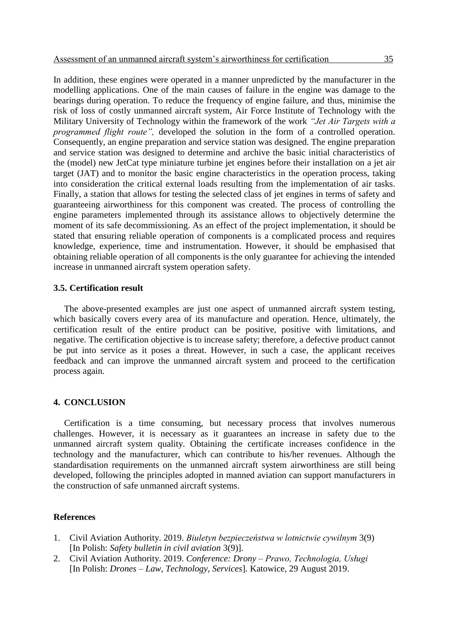In addition, these engines were operated in a manner unpredicted by the manufacturer in the modelling applications. One of the main causes of failure in the engine was damage to the bearings during operation. To reduce the frequency of engine failure, and thus, minimise the risk of loss of costly unmanned aircraft system, Air Force Institute of Technology with the Military University of Technology within the framework of the work *"Jet Air Targets with a programmed flight route",* developed the solution in the form of a controlled operation. Consequently, an engine preparation and service station was designed. The engine preparation and service station was designed to determine and archive the basic initial characteristics of the (model) new JetCat type miniature turbine jet engines before their installation on a jet air target (JAT) and to monitor the basic engine characteristics in the operation process, taking into consideration the critical external loads resulting from the implementation of air tasks. Finally, a station that allows for testing the selected class of jet engines in terms of safety and guaranteeing airworthiness for this component was created. The process of controlling the engine parameters implemented through its assistance allows to objectively determine the moment of its safe decommissioning. As an effect of the project implementation, it should be stated that ensuring reliable operation of components is a complicated process and requires knowledge, experience, time and instrumentation. However, it should be emphasised that obtaining reliable operation of all components is the only guarantee for achieving the intended increase in unmanned aircraft system operation safety.

#### **3.5. Certification result**

The above-presented examples are just one aspect of unmanned aircraft system testing, which basically covers every area of its manufacture and operation. Hence, ultimately, the certification result of the entire product can be positive, positive with limitations, and negative. The certification objective is to increase safety; therefore, a defective product cannot be put into service as it poses a threat. However, in such a case, the applicant receives feedback and can improve the unmanned aircraft system and proceed to the certification process again.

### **4. CONCLUSION**

Certification is a time consuming, but necessary process that involves numerous challenges. However, it is necessary as it guarantees an increase in safety due to the unmanned aircraft system quality. Obtaining the certificate increases confidence in the technology and the manufacturer, which can contribute to his/her revenues. Although the standardisation requirements on the unmanned aircraft system airworthiness are still being developed, following the principles adopted in manned aviation can support manufacturers in the construction of safe unmanned aircraft systems.

### **References**

- 1. Civil Aviation Authority. 2019. *Biuletyn bezpieczeństwa w lotnictwie cywilnym* 3(9) [In Polish: *Safety bulletin in civil aviation* 3(9)].
- 2. Civil Aviation Authority. 2019. *Conference: Drony – Prawo, Technologia, Usługi*  [In Polish: *Drones – Law, Technology, Services*]*.* Katowice, 29 August 2019.